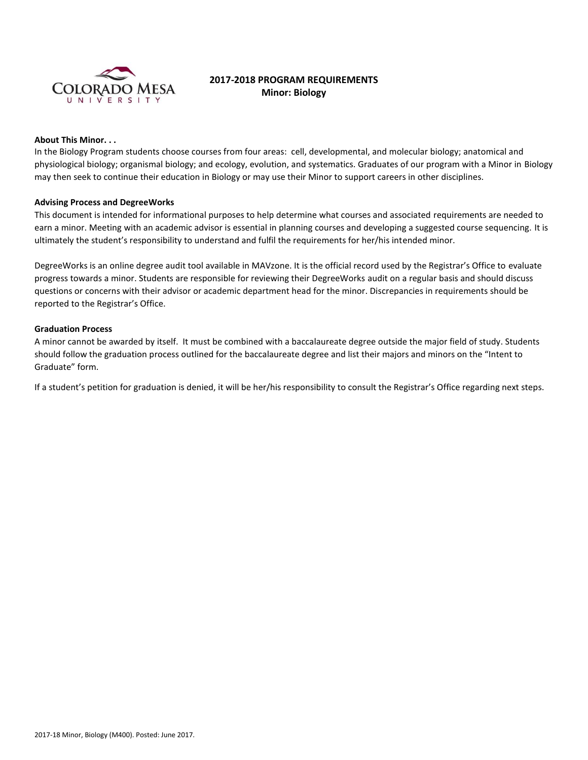

# **2017-2018 PROGRAM REQUIREMENTS Minor: Biology**

# **About This Minor. . .**

In the Biology Program students choose courses from four areas: cell, developmental, and molecular biology; anatomical and physiological biology; organismal biology; and ecology, evolution, and systematics. Graduates of our program with a Minor in Biology may then seek to continue their education in Biology or may use their Minor to support careers in other disciplines.

#### **Advising Process and DegreeWorks**

This document is intended for informational purposes to help determine what courses and associated requirements are needed to earn a minor. Meeting with an academic advisor is essential in planning courses and developing a suggested course sequencing. It is ultimately the student's responsibility to understand and fulfil the requirements for her/his intended minor.

DegreeWorks is an online degree audit tool available in MAVzone. It is the official record used by the Registrar's Office to evaluate progress towards a minor. Students are responsible for reviewing their DegreeWorks audit on a regular basis and should discuss questions or concerns with their advisor or academic department head for the minor. Discrepancies in requirements should be reported to the Registrar's Office.

#### **Graduation Process**

A minor cannot be awarded by itself. It must be combined with a baccalaureate degree outside the major field of study. Students should follow the graduation process outlined for the baccalaureate degree and list their majors and minors on the "Intent to Graduate" form.

If a student's petition for graduation is denied, it will be her/his responsibility to consult the Registrar's Office regarding next steps.